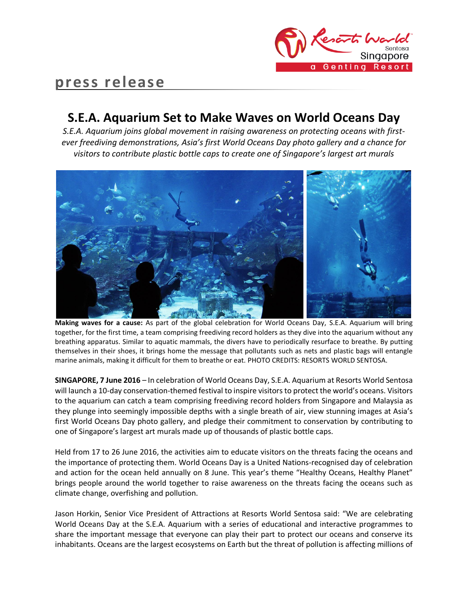

# **press release**

## **S.E.A. Aquarium Set to Make Waves on World Oceans Day**

*S.E.A. Aquarium joins global movement in raising awareness on protecting oceans with firstever freediving demonstrations, Asia's first World Oceans Day photo gallery and a chance for visitors to contribute plastic bottle caps to create one of Singapore's largest art murals*



**Making waves for a cause:** As part of the global celebration for World Oceans Day, S.E.A. Aquarium will bring together, for the first time, a team comprising freediving record holders as they dive into the aquarium without any breathing apparatus. Similar to aquatic mammals, the divers have to periodically resurface to breathe. By putting themselves in their shoes, it brings home the message that pollutants such as nets and plastic bags will entangle marine animals, making it difficult for them to breathe or eat. PHOTO CREDITS: RESORTS WORLD SENTOSA.

**SINGAPORE, 7 June 2016** – In celebration of World Oceans Day, S.E.A. Aquarium at Resorts World Sentosa will launch a 10-day conservation-themed festival to inspire visitors to protect the world's oceans. Visitors to the aquarium can catch a team comprising freediving record holders from Singapore and Malaysia as they plunge into seemingly impossible depths with a single breath of air, view stunning images at Asia's first World Oceans Day photo gallery, and pledge their commitment to conservation by contributing to one of Singapore's largest art murals made up of thousands of plastic bottle caps.

Held from 17 to 26 June 2016, the activities aim to educate visitors on the threats facing the oceans and the importance of protecting them. World Oceans Day is a United Nations-recognised day of celebration and action for the ocean held annually on 8 June. This year's theme "Healthy Oceans, Healthy Planet" brings people around the world together to raise awareness on the threats facing the oceans such as climate change, overfishing and pollution.

Jason Horkin, Senior Vice President of Attractions at Resorts World Sentosa said: "We are celebrating World Oceans Day at the S.E.A. Aquarium with a series of educational and interactive programmes to share the important message that everyone can play their part to protect our oceans and conserve its inhabitants. Oceans are the largest ecosystems on Earth but the threat of pollution is affecting millions of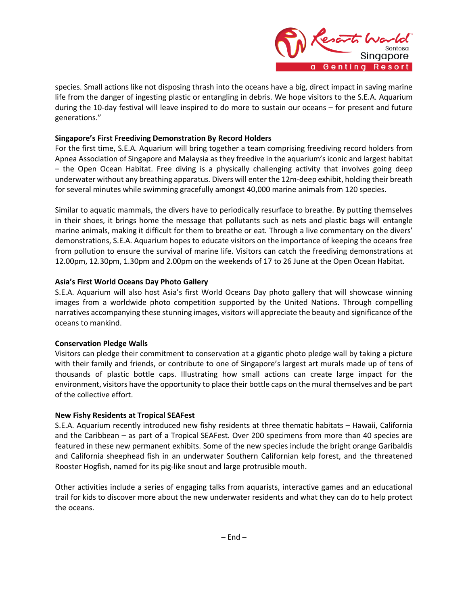

species. Small actions like not disposing thrash into the oceans have a big, direct impact in saving marine life from the danger of ingesting plastic or entangling in debris. We hope visitors to the S.E.A. Aquarium during the 10-day festival will leave inspired to do more to sustain our oceans – for present and future generations."

## **Singapore's First Freediving Demonstration By Record Holders**

For the first time, S.E.A. Aquarium will bring together a team comprising freediving record holders from Apnea Association of Singapore and Malaysia as they freedive in the aquarium's iconic and largest habitat – the Open Ocean Habitat. Free diving is a physically challenging activity that involves going deep underwater without any breathing apparatus. Divers will enter the 12m-deep exhibit, holding their breath for several minutes while swimming gracefully amongst 40,000 marine animals from 120 species.

Similar to aquatic mammals, the divers have to periodically resurface to breathe. By putting themselves in their shoes, it brings home the message that pollutants such as nets and plastic bags will entangle marine animals, making it difficult for them to breathe or eat. Through a live commentary on the divers' demonstrations, S.E.A. Aquarium hopes to educate visitors on the importance of keeping the oceans free from pollution to ensure the survival of marine life. Visitors can catch the freediving demonstrations at 12.00pm, 12.30pm, 1.30pm and 2.00pm on the weekends of 17 to 26 June at the Open Ocean Habitat.

## **Asia's First World Oceans Day Photo Gallery**

S.E.A. Aquarium will also host Asia's first World Oceans Day photo gallery that will showcase winning images from a worldwide photo competition supported by the United Nations. Through compelling narratives accompanying these stunning images, visitors will appreciate the beauty and significance of the oceans to mankind.

## **Conservation Pledge Walls**

Visitors can pledge their commitment to conservation at a gigantic photo pledge wall by taking a picture with their family and friends, or contribute to one of Singapore's largest art murals made up of tens of thousands of plastic bottle caps. Illustrating how small actions can create large impact for the environment, visitors have the opportunity to place their bottle caps on the mural themselves and be part of the collective effort.

## **New Fishy Residents at Tropical SEAFest**

S.E.A. Aquarium recently introduced new fishy residents at three thematic habitats – Hawaii, California and the Caribbean – as part of a Tropical SEAFest. Over 200 specimens from more than 40 species are featured in these new permanent exhibits. Some of the new species include the bright orange Garibaldis and California sheephead fish in an underwater Southern Californian kelp forest, and the threatened Rooster Hogfish, named for its pig-like snout and large protrusible mouth.

Other activities include a series of engaging talks from aquarists, interactive games and an educational trail for kids to discover more about the new underwater residents and what they can do to help protect the oceans.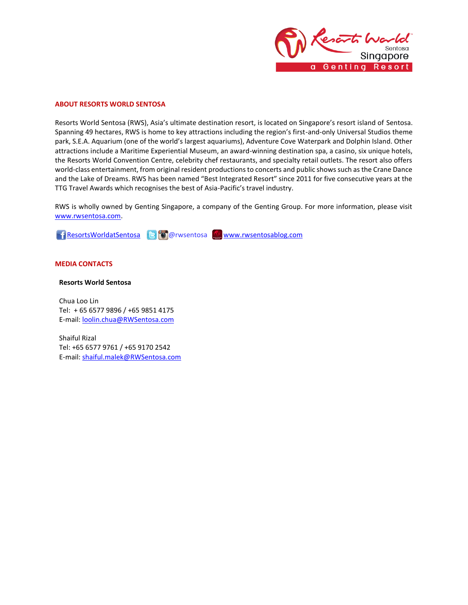

#### **ABOUT RESORTS WORLD SENTOSA**

Resorts World Sentosa (RWS), Asia's ultimate destination resort, is located on Singapore's resort island of Sentosa. Spanning 49 hectares, RWS is home to key attractions including the region's first-and-only Universal Studios theme park, S.E.A. Aquarium (one of the world's largest aquariums), Adventure Cove Waterpark and Dolphin Island. Other attractions include a Maritime Experiential Museum, an award-winning destination spa, a casino, six unique hotels, the Resorts World Convention Centre, celebrity chef restaurants, and specialty retail outlets. The resort also offers world-class entertainment, from original resident productions to concerts and public shows such as the Crane Dance and the Lake of Dreams. RWS has been named "Best Integrated Resort" since 2011 for five consecutive years at the TTG Travel Awards which recognises the best of Asia-Pacific's travel industry.

RWS is wholly owned by Genting Singapore, a company of the Genting Group. For more information, please visit [www.rwsentosa.com.](http://www.rwsentosa.com/)

[ResortsWorldatSentosa](https://www.facebook.com/ResortsWorldatSentosa) B @rwsentosa Www.rwsentosablog.com

#### **MEDIA CONTACTS**

#### **Resorts World Sentosa**

Chua Loo Lin Tel: + 65 6577 9896 / +65 9851 4175 E-mail[: loolin.chua@RWSentosa.com](mailto:loolin.chua@RWSentosa.com)

Shaiful Rizal Tel: +65 6577 9761 / +65 9170 2542 E-mail[: shaiful.malek@RWSentosa.com](mailto:shaiful.malek@RWSentosa.com)